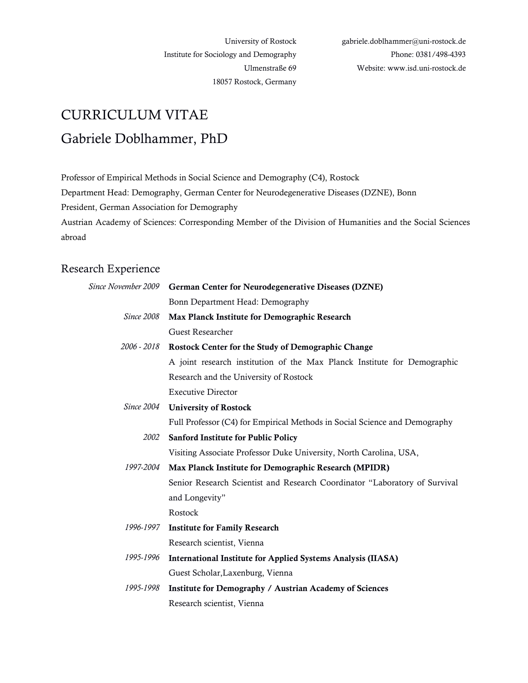University of Rostock Institute for Sociology and Demography Ulmenstraße 69 18057 Rostock, Germany

# CURRICULUM VITAE Gabriele Doblhammer, PhD

Professor of Empirical Methods in Social Science and Demography (C4), Rostock

Department Head: Demography, German Center for Neurodegenerative Diseases (DZNE), Bonn

President, German Association for Demography

Austrian Academy of Sciences: Corresponding Member of the Division of Humanities and the Social Sciences abroad

## Research Experience

|                   | Since November 2009 German Center for Neurodegenerative Diseases (DZNE)    |
|-------------------|----------------------------------------------------------------------------|
|                   | Bonn Department Head: Demography                                           |
| <i>Since</i> 2008 | Max Planck Institute for Demographic Research                              |
|                   | Guest Researcher                                                           |
| 2006 - 2018       | Rostock Center for the Study of Demographic Change                         |
|                   | A joint research institution of the Max Planck Institute for Demographic   |
|                   | Research and the University of Rostock                                     |
|                   | <b>Executive Director</b>                                                  |
|                   | Since 2004 University of Rostock                                           |
|                   | Full Professor (C4) for Empirical Methods in Social Science and Demography |
| 2002              | <b>Sanford Institute for Public Policy</b>                                 |
|                   | Visiting Associate Professor Duke University, North Carolina, USA,         |
| 1997-2004         | Max Planck Institute for Demographic Research (MPIDR)                      |
|                   | Senior Research Scientist and Research Coordinator "Laboratory of Survival |
|                   | and Longevity"                                                             |
|                   | Rostock                                                                    |
| 1996-1997         | <b>Institute for Family Research</b>                                       |
|                   | Research scientist, Vienna                                                 |
| 1995-1996         | <b>International Institute for Applied Systems Analysis (IIASA)</b>        |
|                   | Guest Scholar, Laxenburg, Vienna                                           |
| 1995-1998         | Institute for Demography / Austrian Academy of Sciences                    |
|                   | Research scientist, Vienna                                                 |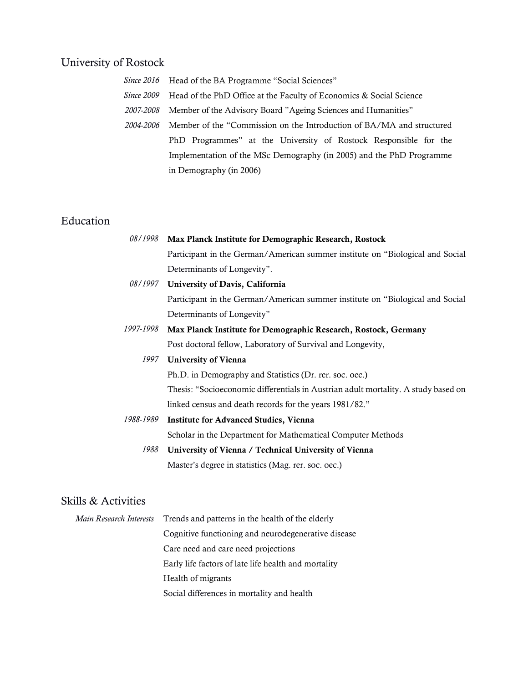## University of Rostock

- *Since 2016* Head of the BA Programme "Social Sciences"
- *Since 2009* Head of the PhD Office at the Faculty of Economics & Social Science
- *2007-2008* Member of the Advisory Board "Ageing Sciences and Humanities"
	- *2004-2006* Member of the "Commission on the Introduction of BA/MA and structured PhD Programmes" at the University of Rostock Responsible for the Implementation of the MSc Demography (in 2005) and the PhD Programme in Demography (in 2006)

## Education

| 08/1998                 | Max Planck Institute for Demographic Research, Rostock                             |
|-------------------------|------------------------------------------------------------------------------------|
|                         | Participant in the German/American summer institute on "Biological and Social      |
|                         | Determinants of Longevity".                                                        |
|                         | 08/1997 University of Davis, California                                            |
|                         | Participant in the German/American summer institute on "Biological and Social      |
|                         | Determinants of Longevity"                                                         |
| 1997-1998               | Max Planck Institute for Demographic Research, Rostock, Germany                    |
|                         | Post doctoral fellow, Laboratory of Survival and Longevity,                        |
| 1997                    | University of Vienna                                                               |
|                         | Ph.D. in Demography and Statistics (Dr. rer. soc. oec.)                            |
|                         | Thesis: "Socioeconomic differentials in Austrian adult mortality. A study based on |
|                         | linked census and death records for the years 1981/82."                            |
| 1988-1989               | <b>Institute for Advanced Studies, Vienna</b>                                      |
|                         | Scholar in the Department for Mathematical Computer Methods                        |
| 1988                    | University of Vienna / Technical University of Vienna                              |
|                         | Master's degree in statistics (Mag. rer. soc. oec.)                                |
|                         |                                                                                    |
| Skills & Activities     |                                                                                    |
| Main Research Interests | Trends and patterns in the health of the elderly                                   |

*Main Research* Cognitive functioning and neurodegenerative disease Care need and care need projections Early life factors of late life health and mortality Health of migrants Social differences in mortality and health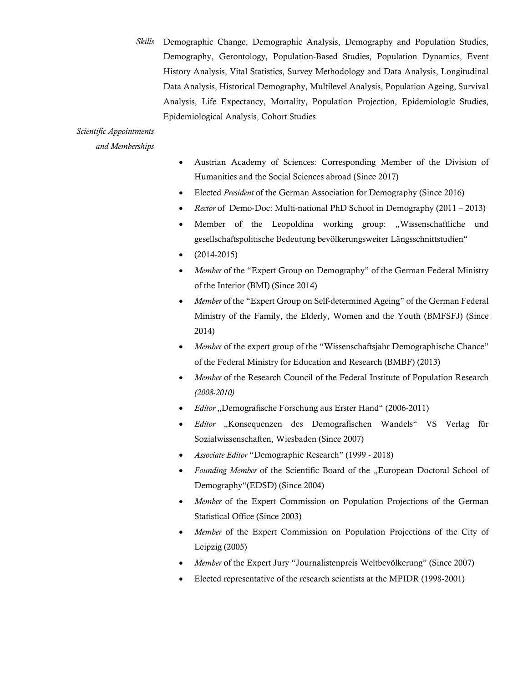*Skills* Demographic Change, Demographic Analysis, Demography and Population Studies, Demography, Gerontology, Population-Based Studies, Population Dynamics, Event History Analysis, Vital Statistics, Survey Methodology and Data Analysis, Longitudinal Data Analysis, Historical Demography, Multilevel Analysis, Population Ageing, Survival Analysis, Life Expectancy, Mortality, Population Projection, Epidemiologic Studies, Epidemiological Analysis, Cohort Studies

## *Scientific Appointments*

*and Memberships*

- Austrian Academy of Sciences: Corresponding Member of the Division of Humanities and the Social Sciences abroad (Since 2017)
- Elected *President* of the German Association for Demography (Since 2016)
- *Rector* of Demo-Doc: Multi-national PhD School in Demography (2011 2013)
- Member of the Leopoldina working group: "Wissenschaftliche und gesellschaftspolitische Bedeutung bevölkerungsweiter Längsschnittstudien"
- $(2014-2015)$
- *Member* of the "Expert Group on Demography" of the German Federal Ministry of the Interior (BMI) (Since 2014)
- *Member* of the "Expert Group on Self-determined Ageing" of the German Federal Ministry of the Family, the Elderly, Women and the Youth (BMFSFJ) (Since 2014)
- *Member* of the expert group of the "Wissenschaftsjahr Demographische Chance" of the Federal Ministry for Education and Research (BMBF) (2013)
- *Member* of the Research Council of the Federal Institute of Population Research *(2008-2010)*
- *Editor* "Demografische Forschung aus Erster Hand" (2006-2011)
- *Editor* "Konsequenzen des Demografischen Wandels" VS Verlag für Sozialwissenschaften, Wiesbaden (Since 2007)
- *Associate Editor* "Demographic Research" (1999 2018)
- *Founding Member* of the Scientific Board of the "European Doctoral School of Demography"(EDSD) (Since 2004)
- *Member* of the Expert Commission on Population Projections of the German Statistical Office (Since 2003)
- *Member* of the Expert Commission on Population Projections of the City of Leipzig (2005)
- *Member* of the Expert Jury "Journalistenpreis Weltbevölkerung" (Since 2007)
- Elected representative of the research scientists at the MPIDR (1998-2001)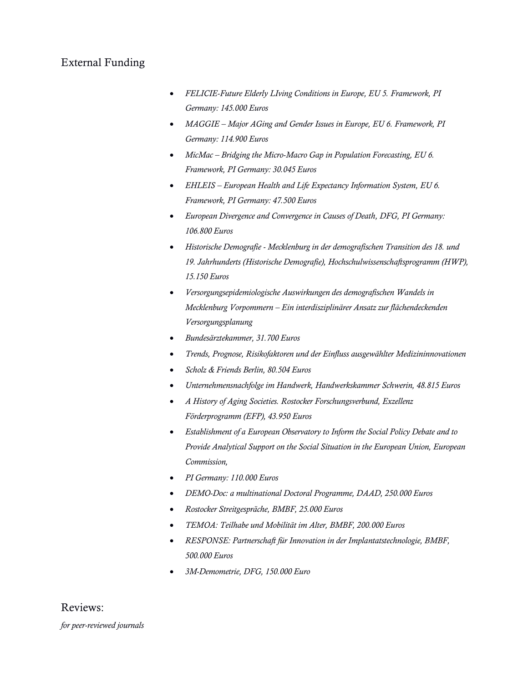## External Funding

- *FELICIE-Future Elderly LIving Conditions in Europe, EU 5. Framework, PI Germany: 145.000 Euros*
- *MAGGIE – Major AGing and Gender Issues in Europe, EU 6. Framework, PI Germany: 114.900 Euros*
- *MicMac – Bridging the Micro-Macro Gap in Population Forecasting, EU 6. Framework, PI Germany: 30.045 Euros*
- *EHLEIS – European Health and Life Expectancy Information System, EU 6. Framework, PI Germany: 47.500 Euros*
- *European Divergence and Convergence in Causes of Death, DFG, PI Germany: 106.800 Euros*
- *Historische Demografie - Mecklenburg in der demografischen Transition des 18. und 19. Jahrhunderts (Historische Demografie), Hochschulwissenschaftsprogramm (HWP), 15.150 Euros*
- *Versorgungsepidemiologische Auswirkungen des demografischen Wandels in Mecklenburg Vorpommern – Ein interdisziplinärer Ansatz zur flächendeckenden Versorgungsplanung*
- *Bundesärztekammer, 31.700 Euros*
- *Trends, Prognose, Risikofaktoren und der Einfluss ausgewählter Medizininnovationen*
- *Scholz & Friends Berlin, 80.504 Euros*
- *Unternehmensnachfolge im Handwerk, Handwerkskammer Schwerin, 48.815 Euros*
- *A History of Aging Societies. Rostocker Forschungsverbund, Exzellenz Förderprogramm (EFP), 43.950 Euros*
- *Establishment of a European Observatory to Inform the Social Policy Debate and to Provide Analytical Support on the Social Situation in the European Union, European Commission,*
- *PI Germany: 110.000 Euros*
- *DEMO-Doc: a multinational Doctoral Programme, DAAD, 250.000 Euros*
- *Rostocker Streitgespräche, BMBF, 25.000 Euros*
- *TEMOA: Teilhabe und Mobilität im Alter, BMBF, 200.000 Euros*
- *RESPONSE: Partnerschaft für Innovation in der Implantatstechnologie, BMBF, 500.000 Euros*
- *3M-Demometrie, DFG, 150.000 Euro*

## Reviews:

*for peer-reviewed journals*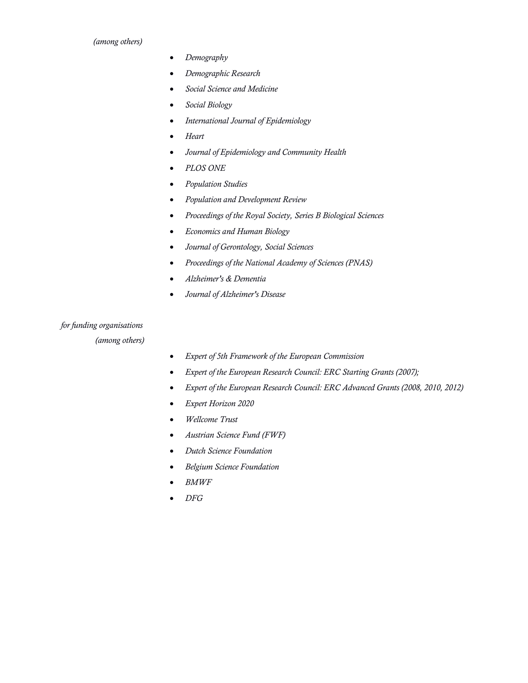#### *(among others)*

- *Demography*
- *Demographic Research*
- *Social Science and Medicine*
- *Social Biology*
- *International Journal of Epidemiology*
- *Heart*
- *Journal of Epidemiology and Community Health*
- *PLOS ONE*
- *Population Studies*
- *Population and Development Review*
- *Proceedings of the Royal Society, Series B Biological Sciences*
- *Economics and Human Biology*
- *Journal of Gerontology, Social Sciences*
- *Proceedings of the National Academy of Sciences (PNAS)*
- *Alzheimer's & Dementia*
- *Journal of Alzheimer's Disease*

## *for funding organisations*

 *(among others)*

- *Expert of 5th Framework of the European Commission*
- *Expert of the European Research Council: ERC Starting Grants (2007);*
- *Expert of the European Research Council: ERC Advanced Grants (2008, 2010, 2012)*
- *Expert Horizon 2020*
- *Wellcome Trust*
- *Austrian Science Fund (FWF)*
- *Dutch Science Foundation*
- *Belgium Science Foundation*
- *BMWF*
- *DFG*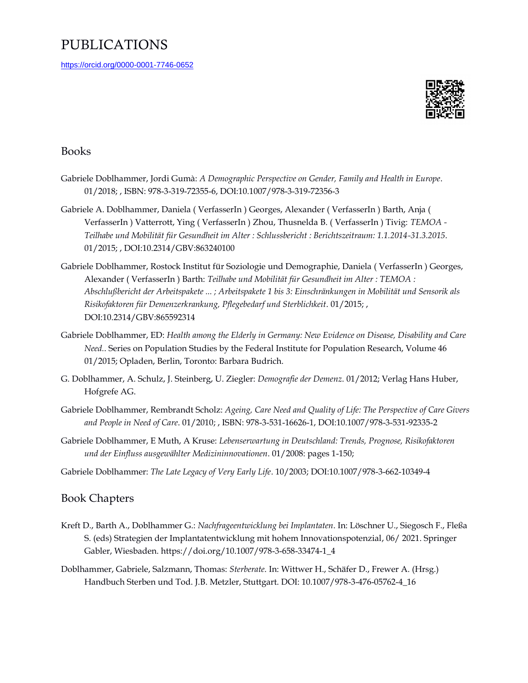## PUBLICATIONS

<https://orcid.org/0000-0001-7746-0652>



### Books

- Gabriele Doblhammer, Jordi Gumà: *A Demographic Perspective on Gender, Family and Health in Europe*. 01/2018; , ISBN: 978-3-319-72355-6, DOI:10.1007/978-3-319-72356-3
- Gabriele A. Doblhammer, Daniela ( VerfasserIn ) Georges, Alexander ( VerfasserIn ) Barth, Anja ( VerfasserIn ) Vatterrott, Ying ( VerfasserIn ) Zhou, Thusnelda B. ( VerfasserIn ) Tivig: *TEMOA - Teilhabe und Mobilität für Gesundheit im Alter : Schlussbericht : Berichtszeitraum: 1.1.2014-31.3.2015*. 01/2015; , DOI:10.2314/GBV:863240100
- Gabriele Doblhammer, Rostock Institut für Soziologie und Demographie, Daniela ( VerfasserIn ) Georges, Alexander ( VerfasserIn ) Barth: *Teilhabe und Mobilität für Gesundheit im Alter : TEMOA : Abschlußbericht der Arbeitspakete ... ; Arbeitspakete 1 bis 3: Einschränkungen in Mobilität und Sensorik als Risikofaktoren für Demenzerkrankung, Pflegebedarf und Sterblichkeit*. 01/2015; , DOI:10.2314/GBV:865592314
- Gabriele Doblhammer, ED: *Health among the Elderly in Germany: New Evidence on Disease, Disability and Care Need.*. Series on Population Studies by the Federal Institute for Population Research, Volume 46 01/2015; Opladen, Berlin, Toronto: Barbara Budrich.
- G. Doblhammer, A. Schulz, J. Steinberg, U. Ziegler: *Demografie der Demenz*. 01/2012; Verlag Hans Huber, Hofgrefe AG.
- Gabriele Doblhammer, Rembrandt Scholz: *Ageing, Care Need and Quality of Life: The Perspective of Care Givers and People in Need of Care*. 01/2010; , ISBN: 978-3-531-16626-1, DOI:10.1007/978-3-531-92335-2
- Gabriele Doblhammer, E Muth, A Kruse: *Lebenserwartung in Deutschland: Trends, Prognose, Risikofaktoren und der Einfluss ausgewählter Medizininnovationen*. 01/2008: pages 1-150;

Gabriele Doblhammer: *The Late Legacy of Very Early Life*. 10/2003; DOI:10.1007/978-3-662-10349-4

### Book Chapters

- Kreft D., Barth A., Doblhammer G.: *Nachfrageentwicklung bei Implantaten*. In: Löschner U., Siegosch F., Fleßa S. (eds) Strategien der Implantatentwicklung mit hohem Innovationspotenzial, 06/ 2021. Springer Gabler, Wiesbaden. https://doi.org/10.1007/978-3-658-33474-1\_4
- Doblhammer, Gabriele, Salzmann, Thomas: *Sterberate*. In: Wittwer H., Schäfer D., Frewer A. (Hrsg.) Handbuch Sterben und Tod. J.B. Metzler, Stuttgart. DOI: 10.1007/978-3-476-05762-4\_16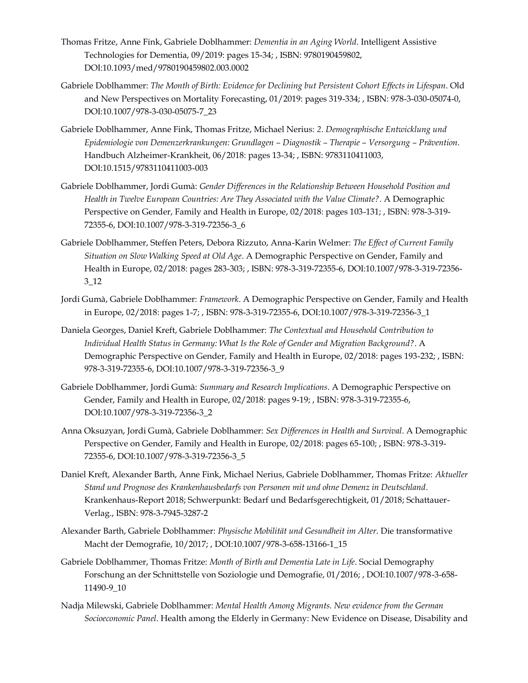- Thomas Fritze, Anne Fink, Gabriele Doblhammer: *Dementia in an Aging World*. Intelligent Assistive Technologies for Dementia, 09/2019: pages 15-34; , ISBN: 9780190459802, DOI:10.1093/med/9780190459802.003.0002
- Gabriele Doblhammer: *The Month of Birth: Evidence for Declining but Persistent Cohort Effects in Lifespan*. Old and New Perspectives on Mortality Forecasting, 01/2019: pages 319-334; , ISBN: 978-3-030-05074-0, DOI:10.1007/978-3-030-05075-7\_23
- Gabriele Doblhammer, Anne Fink, Thomas Fritze, Michael Nerius: *2. Demographische Entwicklung und Epidemiologie von Demenzerkrankungen: Grundlagen – Diagnostik – Therapie – Versorgung – Prävention*. Handbuch Alzheimer-Krankheit, 06/2018: pages 13-34; , ISBN: 9783110411003, DOI:10.1515/9783110411003-003
- Gabriele Doblhammer, Jordi Gumà: *Gender Differences in the Relationship Between Household Position and Health in Twelve European Countries: Are They Associated with the Value Climate?*. A Demographic Perspective on Gender, Family and Health in Europe, 02/2018: pages 103-131; , ISBN: 978-3-319- 72355-6, DOI:10.1007/978-3-319-72356-3\_6
- Gabriele Doblhammer, Steffen Peters, Debora Rizzuto, Anna-Karin Welmer: *The Effect of Current Family Situation on Slow Walking Speed at Old Age*. A Demographic Perspective on Gender, Family and Health in Europe, 02/2018: pages 283-303; , ISBN: 978-3-319-72355-6, DOI:10.1007/978-3-319-72356- 3\_12
- Jordi Gumà, Gabriele Doblhammer: *Framework*. A Demographic Perspective on Gender, Family and Health in Europe, 02/2018: pages 1-7; , ISBN: 978-3-319-72355-6, DOI:10.1007/978-3-319-72356-3\_1
- Daniela Georges, Daniel Kreft, Gabriele Doblhammer: *The Contextual and Household Contribution to Individual Health Status in Germany: What Is the Role of Gender and Migration Background?*. A Demographic Perspective on Gender, Family and Health in Europe, 02/2018: pages 193-232; , ISBN: 978-3-319-72355-6, DOI:10.1007/978-3-319-72356-3\_9
- Gabriele Doblhammer, Jordi Gumà: *Summary and Research Implications*. A Demographic Perspective on Gender, Family and Health in Europe, 02/2018: pages 9-19; , ISBN: 978-3-319-72355-6, DOI:10.1007/978-3-319-72356-3\_2
- Anna Oksuzyan, Jordi Gumà, Gabriele Doblhammer: *Sex Differences in Health and Survival*. A Demographic Perspective on Gender, Family and Health in Europe, 02/2018: pages 65-100; , ISBN: 978-3-319- 72355-6, DOI:10.1007/978-3-319-72356-3\_5
- Daniel Kreft, Alexander Barth, Anne Fink, Michael Nerius, Gabriele Doblhammer, Thomas Fritze: *Aktueller Stand und Prognose des Krankenhausbedarfs von Personen mit und ohne Demenz in Deutschland*. Krankenhaus-Report 2018; Schwerpunkt: Bedarf und Bedarfsgerechtigkeit, 01/2018; Schattauer-Verlag., ISBN: 978-3-7945-3287-2
- Alexander Barth, Gabriele Doblhammer: *Physische Mobilität und Gesundheit im Alter*. Die transformative Macht der Demografie, 10/2017; , DOI:10.1007/978-3-658-13166-1\_15
- Gabriele Doblhammer, Thomas Fritze: *Month of Birth and Dementia Late in Life*. Social Demography Forschung an der Schnittstelle von Soziologie und Demografie, 01/2016; , DOI:10.1007/978-3-658- 11490-9\_10
- Nadja Milewski, Gabriele Doblhammer: *Mental Health Among Migrants. New evidence from the German Socioeconomic Panel*. Health among the Elderly in Germany: New Evidence on Disease, Disability and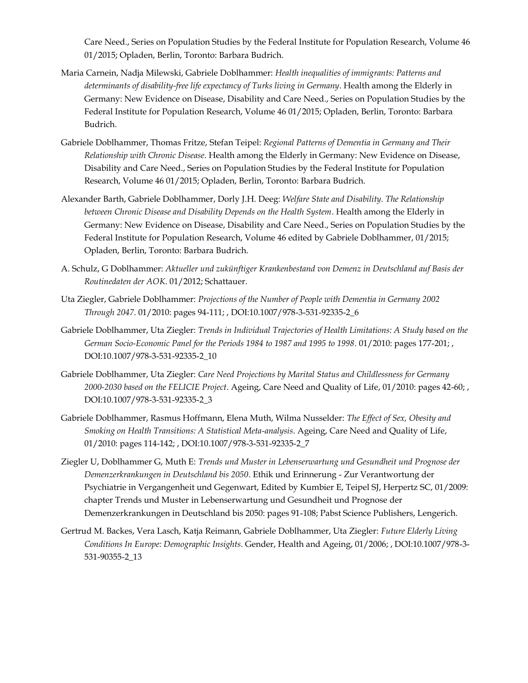Care Need., Series on Population Studies by the Federal Institute for Population Research, Volume 46 01/2015; Opladen, Berlin, Toronto: Barbara Budrich.

- Maria Carnein, Nadja Milewski, Gabriele Doblhammer: *Health inequalities of immigrants: Patterns and determinants of disability-free life expectancy of Turks living in Germany*. Health among the Elderly in Germany: New Evidence on Disease, Disability and Care Need., Series on Population Studies by the Federal Institute for Population Research, Volume 46 01/2015; Opladen, Berlin, Toronto: Barbara Budrich.
- Gabriele Doblhammer, Thomas Fritze, Stefan Teipel: *Regional Patterns of Dementia in Germany and Their Relationship with Chronic Disease*. Health among the Elderly in Germany: New Evidence on Disease, Disability and Care Need., Series on Population Studies by the Federal Institute for Population Research, Volume 46 01/2015; Opladen, Berlin, Toronto: Barbara Budrich.
- Alexander Barth, Gabriele Doblhammer, Dorly J.H. Deeg: *Welfare State and Disability. The Relationship between Chronic Disease and Disability Depends on the Health System*. Health among the Elderly in Germany: New Evidence on Disease, Disability and Care Need., Series on Population Studies by the Federal Institute for Population Research, Volume 46 edited by Gabriele Doblhammer, 01/2015; Opladen, Berlin, Toronto: Barbara Budrich.
- A. Schulz, G Doblhammer: *Aktueller und zukünftiger Krankenbestand von Demenz in Deutschland auf Basis der Routinedaten der AOK*. 01/2012; Schattauer.
- Uta Ziegler, Gabriele Doblhammer: *Projections of the Number of People with Dementia in Germany 2002 Through 2047*. 01/2010: pages 94-111; , DOI:10.1007/978-3-531-92335-2\_6
- Gabriele Doblhammer, Uta Ziegler: *Trends in Individual Trajectories of Health Limitations: A Study based on the German Socio-Economic Panel for the Periods 1984 to 1987 and 1995 to 1998*. 01/2010: pages 177-201; , DOI:10.1007/978-3-531-92335-2\_10
- Gabriele Doblhammer, Uta Ziegler: *Care Need Projections by Marital Status and Childlessness for Germany 2000-2030 based on the FELICIE Project*. Ageing, Care Need and Quality of Life, 01/2010: pages 42-60; , DOI:10.1007/978-3-531-92335-2\_3
- Gabriele Doblhammer, Rasmus Hoffmann, Elena Muth, Wilma Nusselder: *The Effect of Sex, Obesity and Smoking on Health Transitions: A Statistical Meta-analysis*. Ageing, Care Need and Quality of Life, 01/2010: pages 114-142; , DOI:10.1007/978-3-531-92335-2\_7
- Ziegler U, Doblhammer G, Muth E: *Trends und Muster in Lebenserwartung und Gesundheit und Prognose der Demenzerkrankungen in Deutschland bis 2050*. Ethik und Erinnerung - Zur Verantwortung der Psychiatrie in Vergangenheit und Gegenwart, Edited by Kumbier E, Teipel SJ, Herpertz SC, 01/2009: chapter Trends und Muster in Lebenserwartung und Gesundheit und Prognose der Demenzerkrankungen in Deutschland bis 2050: pages 91-108; Pabst Science Publishers, Lengerich.
- Gertrud M. Backes, Vera Lasch, Katja Reimann, Gabriele Doblhammer, Uta Ziegler: *Future Elderly Living Conditions In Europe: Demographic Insights*. Gender, Health and Ageing, 01/2006; , DOI:10.1007/978-3- 531-90355-2\_13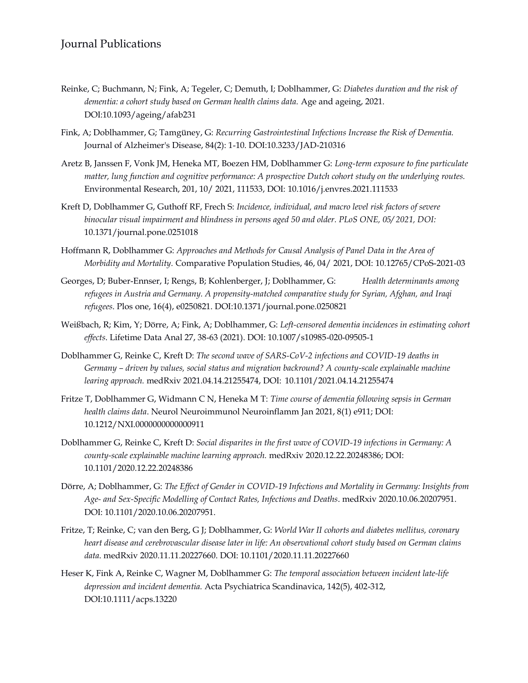## Journal Publications

- Reinke, C; Buchmann, N; Fink, A; Tegeler, C; Demuth, I; Doblhammer, G: *Diabetes duration and the risk of dementia: a cohort study based on German health claims data.* Age and ageing, 2021. DOI:10.1093/ageing/afab231
- Fink, A; Doblhammer, G; Tamgüney, G: *Recurring Gastrointestinal Infections Increase the Risk of Dementia.* Journal of Alzheimer's Disease, 84(2): 1-10. DOI:10.3233/JAD-210316
- Aretz B, Janssen F, Vonk JM, Heneka MT, Boezen HM, Doblhammer G: *Long-term exposure to fine particulate matter, lung function and cognitive performance: A prospective Dutch cohort study on the underlying routes.* Environmental Research, 201, 10/ 2021, 111533, DOI: 10.1016/j.envres.2021.111533
- Kreft D, Doblhammer G, Guthoff RF, Frech S: *Incidence, individual, and macro level risk factors of severe binocular visual impairment and blindness in persons aged 50 and older. PLoS ONE, 05/ 2021, DOI:*  10.1371/journal.pone.0251018
- Hoffmann R, Doblhammer G: *Approaches and Methods for Causal Analysis of Panel Data in the Area of Morbidity and Mortality.* Comparative Population Studies, 46, 04/ 2021, DOI: 10.12765/CPoS-2021-03
- Georges, D; Buber-Ennser, I; Rengs, B; Kohlenberger, J; Doblhammer, G: *Health determinants among refugees in Austria and Germany. A propensity-matched comparative study for Syrian, Afghan, and Iraqi refugees*. Plos one, 16(4), e0250821. DOI:10.1371/journal.pone.0250821
- Weißbach, R; Kim, Y; Dörre, A; Fink, A; Doblhammer, G: *Left-censored dementia incidences in estimating cohort effects*. Lifetime Data Anal 27, 38-63 (2021). DOI: 10.1007/s10985-020-09505-1
- Doblhammer G, Reinke C, Kreft D: *The second wave of SARS-CoV-2 infections and COVID-19 deaths in Germany – driven by values, social status and migration backround? A county-scale explainable machine learing approach.* medRxiv 2021.04.14.21255474, DOI: 10.1101/2021.04.14.21255474
- Fritze T, Doblhammer G, Widmann C N, Heneka M T: *Time course of dementia following sepsis in German health claims data*. Neurol Neuroimmunol Neuroinflamm Jan 2021, 8(1) e911; DOI: 10.1212/NXI.0000000000000911
- Doblhammer G, Reinke C, Kreft D: *Social disparites in the first wave of COVID-19 infections in Germany: A county-scale explainable machine learning approach.* medRxiv 2020.12.22.20248386; DOI: 10.1101/2020.12.22.20248386
- Dörre, A; Doblhammer, G: *The Effect of Gender in COVID-19 Infections and Mortality in Germany: Insights from Age- and Sex-Specific Modelling of Contact Rates, Infections and Deaths*. medRxiv 2020.10.06.20207951. DOI: 10.1101/2020.10.06.20207951.
- Fritze, T; Reinke, C; van den Berg, G J; Doblhammer, G: *World War II cohorts and diabetes mellitus, coronary heart disease and cerebrovascular disease later in life: An observational cohort study based on German claims data*. medRxiv 2020.11.11.20227660. DOI: 10.1101/2020.11.11.20227660
- Heser K, Fink A, Reinke C, Wagner M, Doblhammer G: *The temporal association between incident late-life depression and incident dementia.* Acta Psychiatrica Scandinavica, 142(5), 402-312, DOI:10.1111/acps.13220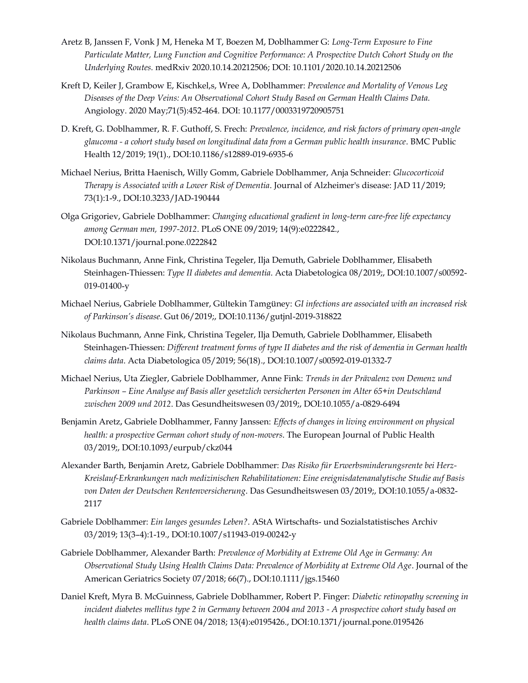- Aretz B, Janssen F, Vonk J M, Heneka M T, Boezen M, Doblhammer G: *Long-Term Exposure to Fine Particulate Matter, Lung Function and Cognitive Performance: A Prospective Dutch Cohort Study on the Underlying Routes.* medRxiv 2020.10.14.20212506; DOI: 10.1101/2020.10.14.20212506
- Kreft D, Keiler J, Grambow E, Kischkel,s, Wree A, Doblhammer: *Prevalence and Mortality of Venous Leg Diseases of the Deep Veins: An Observational Cohort Study Based on German Health Claims Data.* Angiology. 2020 May;71(5):452-464. DOI: 10.1177/0003319720905751
- D. Kreft, G. Doblhammer, R. F. Guthoff, S. Frech: *Prevalence, incidence, and risk factors of primary open-angle glaucoma - a cohort study based on longitudinal data from a German public health insurance*. BMC Public Health 12/2019; 19(1)., DOI:10.1186/s12889-019-6935-6
- Michael Nerius, Britta Haenisch, Willy Gomm, Gabriele Doblhammer, Anja Schneider: *Glucocorticoid Therapy is Associated with a Lower Risk of Dementia*. Journal of Alzheimer's disease: JAD 11/2019; 73(1):1-9., DOI:10.3233/JAD-190444
- Olga Grigoriev, Gabriele Doblhammer: *Changing educational gradient in long-term care-free life expectancy among German men, 1997-2012*. PLoS ONE 09/2019; 14(9):e0222842., DOI:10.1371/journal.pone.0222842
- Nikolaus Buchmann, Anne Fink, Christina Tegeler, Ilja Demuth, Gabriele Doblhammer, Elisabeth Steinhagen-Thiessen: *Type II diabetes and dementia*. Acta Diabetologica 08/2019;, DOI:10.1007/s00592- 019-01400-y
- Michael Nerius, Gabriele Doblhammer, Gültekin Tamgüney: *GI infections are associated with an increased risk of Parkinson's disease*. Gut 06/2019;, DOI:10.1136/gutjnl-2019-318822
- Nikolaus Buchmann, Anne Fink, Christina Tegeler, Ilja Demuth, Gabriele Doblhammer, Elisabeth Steinhagen-Thiessen: *Different treatment forms of type II diabetes and the risk of dementia in German health claims data*. Acta Diabetologica 05/2019; 56(18)., DOI:10.1007/s00592-019-01332-7
- Michael Nerius, Uta Ziegler, Gabriele Doblhammer, Anne Fink: *Trends in der Prävalenz von Demenz und Parkinson – Eine Analyse auf Basis aller gesetzlich versicherten Personen im Alter 65+in Deutschland zwischen 2009 und 2012*. Das Gesundheitswesen 03/2019;, DOI:10.1055/a-0829-6494
- Benjamin Aretz, Gabriele Doblhammer, Fanny Janssen: *Effects of changes in living environment on physical health: a prospective German cohort study of non-movers*. The European Journal of Public Health 03/2019;, DOI:10.1093/eurpub/ckz044
- Alexander Barth, Benjamin Aretz, Gabriele Doblhammer: *Das Risiko für Erwerbsminderungsrente bei Herz-Kreislauf-Erkrankungen nach medizinischen Rehabilitationen: Eine ereignisdatenanalytische Studie auf Basis von Daten der Deutschen Rentenversicherung*. Das Gesundheitswesen 03/2019;, DOI:10.1055/a-0832- 2117
- Gabriele Doblhammer: *Ein langes gesundes Leben?*. AStA Wirtschafts- und Sozialstatistisches Archiv 03/2019; 13(3–4):1-19., DOI:10.1007/s11943-019-00242-y
- Gabriele Doblhammer, Alexander Barth: *Prevalence of Morbidity at Extreme Old Age in Germany: An Observational Study Using Health Claims Data: Prevalence of Morbidity at Extreme Old Age*. Journal of the American Geriatrics Society 07/2018; 66(7)., DOI:10.1111/jgs.15460
- Daniel Kreft, Myra B. McGuinness, Gabriele Doblhammer, Robert P. Finger: *Diabetic retinopathy screening in incident diabetes mellitus type 2 in Germany between 2004 and 2013 - A prospective cohort study based on health claims data*. PLoS ONE 04/2018; 13(4):e0195426., DOI:10.1371/journal.pone.0195426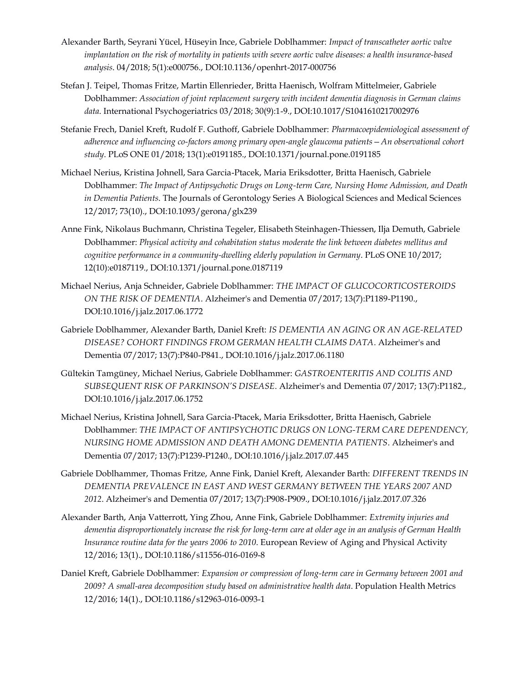- Alexander Barth, Seyrani Yücel, Hüseyin Ince, Gabriele Doblhammer: *Impact of transcatheter aortic valve implantation on the risk of mortality in patients with severe aortic valve diseases: a health insurance-based analysis*. 04/2018; 5(1):e000756., DOI:10.1136/openhrt-2017-000756
- Stefan J. Teipel, Thomas Fritze, Martin Ellenrieder, Britta Haenisch, Wolfram Mittelmeier, Gabriele Doblhammer: *Association of joint replacement surgery with incident dementia diagnosis in German claims data*. International Psychogeriatrics 03/2018; 30(9):1-9., DOI:10.1017/S1041610217002976
- Stefanie Frech, Daniel Kreft, Rudolf F. Guthoff, Gabriele Doblhammer: *Pharmacoepidemiological assessment of adherence and influencing co-factors among primary open-angle glaucoma patients—An observational cohort study*. PLoS ONE 01/2018; 13(1):e0191185., DOI:10.1371/journal.pone.0191185
- Michael Nerius, Kristina Johnell, Sara Garcia-Ptacek, Maria Eriksdotter, Britta Haenisch, Gabriele Doblhammer: *The Impact of Antipsychotic Drugs on Long-term Care, Nursing Home Admission, and Death in Dementia Patients*. The Journals of Gerontology Series A Biological Sciences and Medical Sciences 12/2017; 73(10)., DOI:10.1093/gerona/glx239
- Anne Fink, Nikolaus Buchmann, Christina Tegeler, Elisabeth Steinhagen-Thiessen, Ilja Demuth, Gabriele Doblhammer: *Physical activity and cohabitation status moderate the link between diabetes mellitus and cognitive performance in a community-dwelling elderly population in Germany*. PLoS ONE 10/2017; 12(10):e0187119., DOI:10.1371/journal.pone.0187119
- Michael Nerius, Anja Schneider, Gabriele Doblhammer: *THE IMPACT OF GLUCOCORTICOSTEROIDS ON THE RISK OF DEMENTIA*. Alzheimer's and Dementia 07/2017; 13(7):P1189-P1190., DOI:10.1016/j.jalz.2017.06.1772
- Gabriele Doblhammer, Alexander Barth, Daniel Kreft: *IS DEMENTIA AN AGING OR AN AGE-RELATED DISEASE? COHORT FINDINGS FROM GERMAN HEALTH CLAIMS DATA*. Alzheimer's and Dementia 07/2017; 13(7):P840-P841., DOI:10.1016/j.jalz.2017.06.1180
- Gültekin Tamgüney, Michael Nerius, Gabriele Doblhammer: *GASTROENTERITIS AND COLITIS AND SUBSEQUENT RISK OF PARKINSON'S DISEASE*. Alzheimer's and Dementia 07/2017; 13(7):P1182., DOI:10.1016/j.jalz.2017.06.1752
- Michael Nerius, Kristina Johnell, Sara Garcia-Ptacek, Maria Eriksdotter, Britta Haenisch, Gabriele Doblhammer: *THE IMPACT OF ANTIPSYCHOTIC DRUGS ON LONG-TERM CARE DEPENDENCY, NURSING HOME ADMISSION AND DEATH AMONG DEMENTIA PATIENTS*. Alzheimer's and Dementia 07/2017; 13(7):P1239-P1240., DOI:10.1016/j.jalz.2017.07.445
- Gabriele Doblhammer, Thomas Fritze, Anne Fink, Daniel Kreft, Alexander Barth: *DIFFERENT TRENDS IN DEMENTIA PREVALENCE IN EAST AND WEST GERMANY BETWEEN THE YEARS 2007 AND 2012*. Alzheimer's and Dementia 07/2017; 13(7):P908-P909., DOI:10.1016/j.jalz.2017.07.326
- Alexander Barth, Anja Vatterrott, Ying Zhou, Anne Fink, Gabriele Doblhammer: *Extremity injuries and dementia disproportionately increase the risk for long-term care at older age in an analysis of German Health Insurance routine data for the years 2006 to 2010*. European Review of Aging and Physical Activity 12/2016; 13(1)., DOI:10.1186/s11556-016-0169-8
- Daniel Kreft, Gabriele Doblhammer: *Expansion or compression of long-term care in Germany between 2001 and 2009? A small-area decomposition study based on administrative health data*. Population Health Metrics 12/2016; 14(1)., DOI:10.1186/s12963-016-0093-1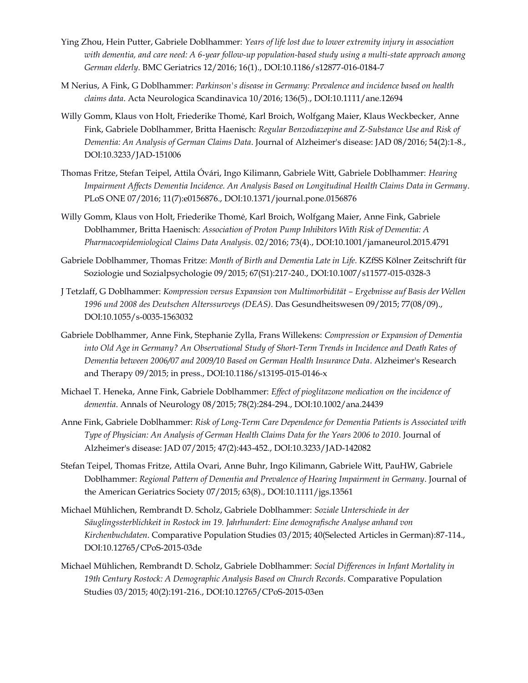- Ying Zhou, Hein Putter, Gabriele Doblhammer: *Years of life lost due to lower extremity injury in association with dementia, and care need: A 6-year follow-up population-based study using a multi-state approach among German elderly*. BMC Geriatrics 12/2016; 16(1)., DOI:10.1186/s12877-016-0184-7
- M Nerius, A Fink, G Doblhammer: *Parkinson's disease in Germany: Prevalence and incidence based on health claims data*. Acta Neurologica Scandinavica 10/2016; 136(5)., DOI:10.1111/ane.12694
- Willy Gomm, Klaus von Holt, Friederike Thomé, Karl Broich, Wolfgang Maier, Klaus Weckbecker, Anne Fink, Gabriele Doblhammer, Britta Haenisch: *Regular Benzodiazepine and Z-Substance Use and Risk of Dementia: An Analysis of German Claims Data*. Journal of Alzheimer's disease: JAD 08/2016; 54(2):1-8., DOI:10.3233/JAD-151006
- Thomas Fritze, Stefan Teipel, Attila Óvári, Ingo Kilimann, Gabriele Witt, Gabriele Doblhammer: *Hearing Impairment Affects Dementia Incidence. An Analysis Based on Longitudinal Health Claims Data in Germany*. PLoS ONE 07/2016; 11(7):e0156876., DOI:10.1371/journal.pone.0156876
- Willy Gomm, Klaus von Holt, Friederike Thomé, Karl Broich, Wolfgang Maier, Anne Fink, Gabriele Doblhammer, Britta Haenisch: *Association of Proton Pump Inhibitors With Risk of Dementia: A Pharmacoepidemiological Claims Data Analysis*. 02/2016; 73(4)., DOI:10.1001/jamaneurol.2015.4791
- Gabriele Doblhammer, Thomas Fritze: *Month of Birth and Dementia Late in Life*. KZfSS Kölner Zeitschrift für Soziologie und Sozialpsychologie 09/2015; 67(S1):217-240., DOI:10.1007/s11577-015-0328-3
- J Tetzlaff, G Doblhammer: *Kompression versus Expansion von Multimorbidität – Ergebnisse auf Basis der Wellen 1996 und 2008 des Deutschen Alterssurveys (DEAS)*. Das Gesundheitswesen 09/2015; 77(08/09)., DOI:10.1055/s-0035-1563032
- Gabriele Doblhammer, Anne Fink, Stephanie Zylla, Frans Willekens: *Compression or Expansion of Dementia into Old Age in Germany? An Observational Study of Short-Term Trends in Incidence and Death Rates of Dementia between 2006/07 and 2009/10 Based on German Health Insurance Data*. Alzheimer's Research and Therapy 09/2015; in press., DOI:10.1186/s13195-015-0146-x
- Michael T. Heneka, Anne Fink, Gabriele Doblhammer: *Effect of pioglitazone medication on the incidence of dementia*. Annals of Neurology 08/2015; 78(2):284-294., DOI:10.1002/ana.24439
- Anne Fink, Gabriele Doblhammer: *Risk of Long-Term Care Dependence for Dementia Patients is Associated with Type of Physician: An Analysis of German Health Claims Data for the Years 2006 to 2010*. Journal of Alzheimer's disease: JAD 07/2015; 47(2):443-452., DOI:10.3233/JAD-142082
- Stefan Teipel, Thomas Fritze, Attila Ovari, Anne Buhr, Ingo Kilimann, Gabriele Witt, PauHW, Gabriele Doblhammer: *Regional Pattern of Dementia and Prevalence of Hearing Impairment in Germany*. Journal of the American Geriatrics Society 07/2015; 63(8)., DOI:10.1111/jgs.13561
- Michael Mühlichen, Rembrandt D. Scholz, Gabriele Doblhammer: *Soziale Unterschiede in der Säuglingssterblichkeit in Rostock im 19. Jahrhundert: Eine demografische Analyse anhand von Kirchenbuchdaten*. Comparative Population Studies 03/2015; 40(Selected Articles in German):87-114., DOI:10.12765/CPoS-2015-03de
- Michael Mühlichen, Rembrandt D. Scholz, Gabriele Doblhammer: *Social Differences in Infant Mortality in 19th Century Rostock: A Demographic Analysis Based on Church Records*. Comparative Population Studies 03/2015; 40(2):191-216., DOI:10.12765/CPoS-2015-03en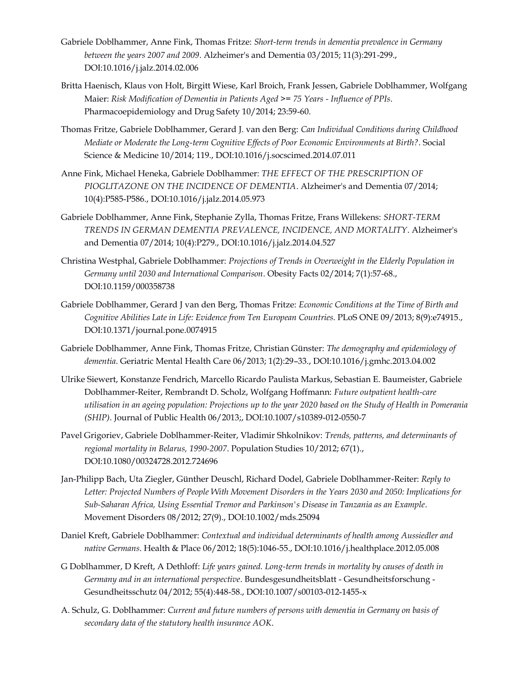- Gabriele Doblhammer, Anne Fink, Thomas Fritze: *Short-term trends in dementia prevalence in Germany between the years 2007 and 2009*. Alzheimer's and Dementia 03/2015; 11(3):291-299., DOI:10.1016/j.jalz.2014.02.006
- Britta Haenisch, Klaus von Holt, Birgitt Wiese, Karl Broich, Frank Jessen, Gabriele Doblhammer, Wolfgang Maier: *Risk Modification of Dementia in Patients Aged >= 75 Years - Influence of PPIs*. Pharmacoepidemiology and Drug Safety 10/2014; 23:59-60.
- Thomas Fritze, Gabriele Doblhammer, Gerard J. van den Berg: *Can Individual Conditions during Childhood Mediate or Moderate the Long-term Cognitive Effects of Poor Economic Environments at Birth?*. Social Science & Medicine 10/2014; 119., DOI:10.1016/j.socscimed.2014.07.011
- Anne Fink, Michael Heneka, Gabriele Doblhammer: *THE EFFECT OF THE PRESCRIPTION OF PIOGLITAZONE ON THE INCIDENCE OF DEMENTIA*. Alzheimer's and Dementia 07/2014; 10(4):P585-P586., DOI:10.1016/j.jalz.2014.05.973
- Gabriele Doblhammer, Anne Fink, Stephanie Zylla, Thomas Fritze, Frans Willekens: *SHORT-TERM TRENDS IN GERMAN DEMENTIA PREVALENCE, INCIDENCE, AND MORTALITY*. Alzheimer's and Dementia 07/2014; 10(4):P279., DOI:10.1016/j.jalz.2014.04.527
- Christina Westphal, Gabriele Doblhammer: *Projections of Trends in Overweight in the Elderly Population in Germany until 2030 and International Comparison*. Obesity Facts 02/2014; 7(1):57-68., DOI:10.1159/000358738
- Gabriele Doblhammer, Gerard J van den Berg, Thomas Fritze: *Economic Conditions at the Time of Birth and Cognitive Abilities Late in Life: Evidence from Ten European Countries*. PLoS ONE 09/2013; 8(9):e74915., DOI:10.1371/journal.pone.0074915
- Gabriele Doblhammer, Anne Fink, Thomas Fritze, Christian Günster: *The demography and epidemiology of dementia*. Geriatric Mental Health Care 06/2013; 1(2):29–33., DOI:10.1016/j.gmhc.2013.04.002
- Ulrike Siewert, Konstanze Fendrich, Marcello Ricardo Paulista Markus, Sebastian E. Baumeister, Gabriele Doblhammer-Reiter, Rembrandt D. Scholz, Wolfgang Hoffmann: *Future outpatient health-care utilisation in an ageing population: Projections up to the year 2020 based on the Study of Health in Pomerania (SHIP)*. Journal of Public Health 06/2013;, DOI:10.1007/s10389-012-0550-7
- Pavel Grigoriev, Gabriele Doblhammer-Reiter, Vladimir Shkolnikov: *Trends, patterns, and determinants of regional mortality in Belarus, 1990-2007*. Population Studies 10/2012; 67(1)., DOI:10.1080/00324728.2012.724696
- Jan-Philipp Bach, Uta Ziegler, Günther Deuschl, Richard Dodel, Gabriele Doblhammer-Reiter: *Reply to Letter: Projected Numbers of People With Movement Disorders in the Years 2030 and 2050: Implications for Sub-Saharan Africa, Using Essential Tremor and Parkinson's Disease in Tanzania as an Example*. Movement Disorders 08/2012; 27(9)., DOI:10.1002/mds.25094
- Daniel Kreft, Gabriele Doblhammer: *Contextual and individual determinants of health among Aussiedler and native Germans*. Health & Place 06/2012; 18(5):1046-55., DOI:10.1016/j.healthplace.2012.05.008
- G Doblhammer, D Kreft, A Dethloff: *Life years gained. Long-term trends in mortality by causes of death in Germany and in an international perspective*. Bundesgesundheitsblatt - Gesundheitsforschung - Gesundheitsschutz 04/2012; 55(4):448-58., DOI:10.1007/s00103-012-1455-x
- A. Schulz, G. Doblhammer: *Current and future numbers of persons with dementia in Germany on basis of secondary data of the statutory health insurance AOK*.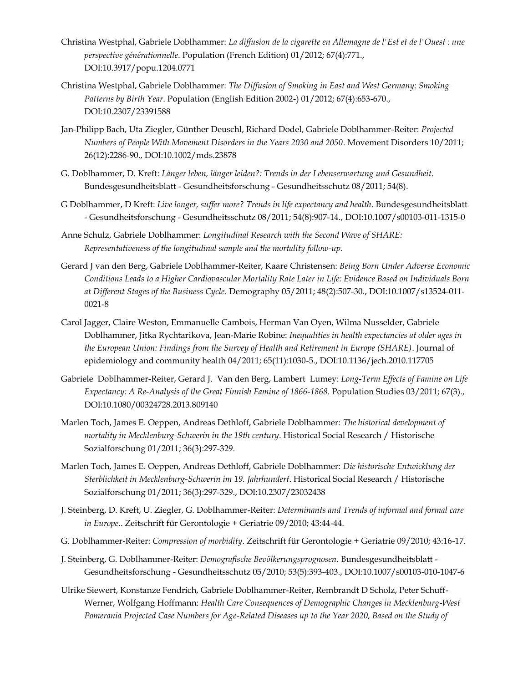- Christina Westphal, Gabriele Doblhammer: *La diffusion de la cigarette en Allemagne de l'Est et de l'Ouest : une perspective générationnelle*. Population (French Edition) 01/2012; 67(4):771., DOI:10.3917/popu.1204.0771
- Christina Westphal, Gabriele Doblhammer: *The Diffusion of Smoking in East and West Germany: Smoking Patterns by Birth Year*. Population (English Edition 2002-) 01/2012; 67(4):653-670., DOI:10.2307/23391588
- Jan-Philipp Bach, Uta Ziegler, Günther Deuschl, Richard Dodel, Gabriele Doblhammer-Reiter: *Projected Numbers of People With Movement Disorders in the Years 2030 and 2050*. Movement Disorders 10/2011; 26(12):2286-90., DOI:10.1002/mds.23878
- G. Doblhammer, D. Kreft: *Länger leben, länger leiden?: Trends in der Lebenserwartung und Gesundheit*. Bundesgesundheitsblatt - Gesundheitsforschung - Gesundheitsschutz 08/2011; 54(8).
- G Doblhammer, D Kreft: *Live longer, suffer more? Trends in life expectancy and health*. Bundesgesundheitsblatt - Gesundheitsforschung - Gesundheitsschutz 08/2011; 54(8):907-14., DOI:10.1007/s00103-011-1315-0
- Anne Schulz, Gabriele Doblhammer: *Longitudinal Research with the Second Wave of SHARE: Representativeness of the longitudinal sample and the mortality follow-up*.
- Gerard J van den Berg, Gabriele Doblhammer-Reiter, Kaare Christensen: *Being Born Under Adverse Economic Conditions Leads to a Higher Cardiovascular Mortality Rate Later in Life: Evidence Based on Individuals Born at Different Stages of the Business Cycle*. Demography 05/2011; 48(2):507-30., DOI:10.1007/s13524-011- 0021-8
- Carol Jagger, Claire Weston, Emmanuelle Cambois, Herman Van Oyen, Wilma Nusselder, Gabriele Doblhammer, Jitka Rychtarikova, Jean-Marie Robine: *Inequalities in health expectancies at older ages in the European Union: Findings from the Survey of Health and Retirement in Europe (SHARE)*. Journal of epidemiology and community health 04/2011; 65(11):1030-5., DOI:10.1136/jech.2010.117705
- Gabriele Doblhammer-Reiter, Gerard J. Van den Berg, Lambert Lumey: *Long-Term Effects of Famine on Life Expectancy: A Re-Analysis of the Great Finnish Famine of 1866-1868*. Population Studies 03/2011; 67(3)., DOI:10.1080/00324728.2013.809140
- Marlen Toch, James E. Oeppen, Andreas Dethloff, Gabriele Doblhammer: *The historical development of mortality in Mecklenburg-Schwerin in the 19th century*. Historical Social Research / Historische Sozialforschung 01/2011; 36(3):297-329.
- Marlen Toch, James E. Oeppen, Andreas Dethloff, Gabriele Doblhammer: *Die historische Entwicklung der Sterblichkeit in Mecklenburg-Schwerin im 19. Jahrhundert*. Historical Social Research / Historische Sozialforschung 01/2011; 36(3):297-329., DOI:10.2307/23032438
- J. Steinberg, D. Kreft, U. Ziegler, G. Doblhammer-Reiter: *Determinants and Trends of informal and formal care in Europe.*. Zeitschrift für Gerontologie + Geriatrie 09/2010; 43:44-44.
- G. Doblhammer-Reiter: *Compression of morbidity*. Zeitschrift für Gerontologie + Geriatrie 09/2010; 43:16-17.
- J. Steinberg, G. Doblhammer-Reiter: *Demografische Bevölkerungsprognosen*. Bundesgesundheitsblatt Gesundheitsforschung - Gesundheitsschutz 05/2010; 53(5):393-403., DOI:10.1007/s00103-010-1047-6
- Ulrike Siewert, Konstanze Fendrich, Gabriele Doblhammer-Reiter, Rembrandt D Scholz, Peter Schuff-Werner, Wolfgang Hoffmann: *Health Care Consequences of Demographic Changes in Mecklenburg-West Pomerania Projected Case Numbers for Age-Related Diseases up to the Year 2020, Based on the Study of*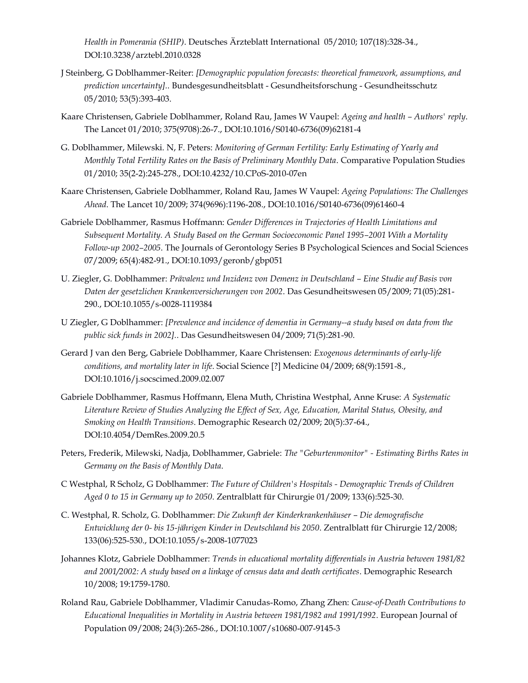*Health in Pomerania (SHIP)*. Deutsches Ärzteblatt International 05/2010; 107(18):328-34., DOI:10.3238/arztebl.2010.0328

- J Steinberg, G Doblhammer-Reiter: *[Demographic population forecasts: theoretical framework, assumptions, and prediction uncertainty].*. Bundesgesundheitsblatt - Gesundheitsforschung - Gesundheitsschutz 05/2010; 53(5):393-403.
- Kaare Christensen, Gabriele Doblhammer, Roland Rau, James W Vaupel: *Ageing and health – Authors' reply*. The Lancet 01/2010; 375(9708):26-7., DOI:10.1016/S0140-6736(09)62181-4
- G. Doblhammer, Milewski. N, F. Peters: *Monitoring of German Fertility: Early Estimating of Yearly and Monthly Total Fertility Rates on the Basis of Preliminary Monthly Data*. Comparative Population Studies 01/2010; 35(2-2):245-278., DOI:10.4232/10.CPoS-2010-07en
- Kaare Christensen, Gabriele Doblhammer, Roland Rau, James W Vaupel: *Ageing Populations: The Challenges Ahead*. The Lancet 10/2009; 374(9696):1196-208., DOI:10.1016/S0140-6736(09)61460-4
- Gabriele Doblhammer, Rasmus Hoffmann: *Gender Differences in Trajectories of Health Limitations and Subsequent Mortality. A Study Based on the German Socioeconomic Panel 1995–2001 With a Mortality Follow-up 2002–2005*. The Journals of Gerontology Series B Psychological Sciences and Social Sciences 07/2009; 65(4):482-91., DOI:10.1093/geronb/gbp051
- U. Ziegler, G. Doblhammer: *Prävalenz und Inzidenz von Demenz in Deutschland – Eine Studie auf Basis von Daten der gesetzlichen Krankenversicherungen von 2002*. Das Gesundheitswesen 05/2009; 71(05):281- 290., DOI:10.1055/s-0028-1119384
- U Ziegler, G Doblhammer: *[Prevalence and incidence of dementia in Germany--a study based on data from the public sick funds in 2002].*. Das Gesundheitswesen 04/2009; 71(5):281-90.
- Gerard J van den Berg, Gabriele Doblhammer, Kaare Christensen: *Exogenous determinants of early-life conditions, and mortality later in life*. Social Science [?] Medicine 04/2009; 68(9):1591-8., DOI:10.1016/j.socscimed.2009.02.007
- Gabriele Doblhammer, Rasmus Hoffmann, Elena Muth, Christina Westphal, Anne Kruse: *A Systematic Literature Review of Studies Analyzing the Effect of Sex, Age, Education, Marital Status, Obesity, and Smoking on Health Transitions*. Demographic Research 02/2009; 20(5):37-64., DOI:10.4054/DemRes.2009.20.5
- Peters, Frederik, Milewski, Nadja, Doblhammer, Gabriele: *The "Geburtenmonitor" - Estimating Births Rates in Germany on the Basis of Monthly Data*.
- C Westphal, R Scholz, G Doblhammer: *The Future of Children's Hospitals - Demographic Trends of Children Aged 0 to 15 in Germany up to 2050*. Zentralblatt für Chirurgie 01/2009; 133(6):525-30.
- C. Westphal, R. Scholz, G. Doblhammer: *Die Zukunft der Kinderkrankenhäuser – Die demografische Entwicklung der 0- bis 15-jährigen Kinder in Deutschland bis 2050*. Zentralblatt für Chirurgie 12/2008; 133(06):525-530., DOI:10.1055/s-2008-1077023
- Johannes Klotz, Gabriele Doblhammer: *Trends in educational mortality differentials in Austria between 1981/82 and 2001/2002: A study based on a linkage of census data and death certificates*. Demographic Research 10/2008; 19:1759-1780.
- Roland Rau, Gabriele Doblhammer, Vladimir Canudas-Romo, Zhang Zhen: *Cause-of-Death Contributions to Educational Inequalities in Mortality in Austria between 1981/1982 and 1991/1992*. European Journal of Population 09/2008; 24(3):265-286., DOI:10.1007/s10680-007-9145-3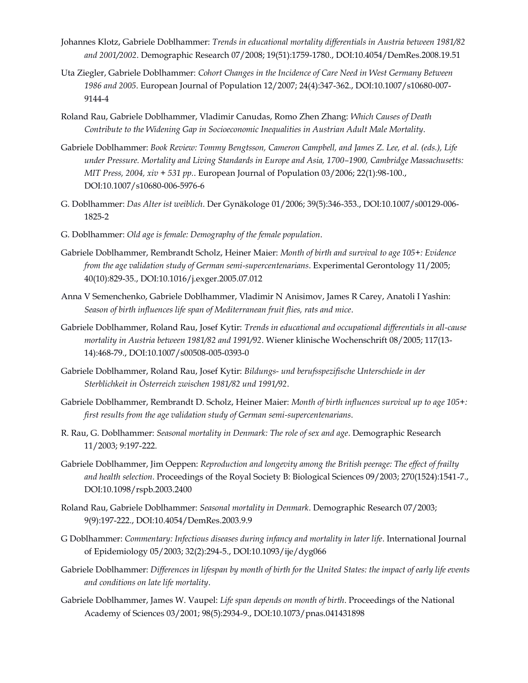- Johannes Klotz, Gabriele Doblhammer: *Trends in educational mortality differentials in Austria between 1981/82 and 2001/2002*. Demographic Research 07/2008; 19(51):1759-1780., DOI:10.4054/DemRes.2008.19.51
- Uta Ziegler, Gabriele Doblhammer: *Cohort Changes in the Incidence of Care Need in West Germany Between 1986 and 2005*. European Journal of Population 12/2007; 24(4):347-362., DOI:10.1007/s10680-007- 9144-4
- Roland Rau, Gabriele Doblhammer, Vladimir Canudas, Romo Zhen Zhang: *Which Causes of Death Contribute to the Widening Gap in Socioeconomic Inequalities in Austrian Adult Male Mortality*.
- Gabriele Doblhammer: *Book Review: Tommy Bengtsson, Cameron Campbell, and James Z. Lee, et al. (eds.), Life under Pressure. Mortality and Living Standards in Europe and Asia, 1700–1900, Cambridge Massachusetts: MIT Press, 2004, xiv + 531 pp.*. European Journal of Population 03/2006; 22(1):98-100., DOI:10.1007/s10680-006-5976-6
- G. Doblhammer: *Das Alter ist weiblich*. Der Gynäkologe 01/2006; 39(5):346-353., DOI:10.1007/s00129-006- 1825-2
- G. Doblhammer: *Old age is female: Demography of the female population*.
- Gabriele Doblhammer, Rembrandt Scholz, Heiner Maier: *Month of birth and survival to age 105+: Evidence from the age validation study of German semi-supercentenarians*. Experimental Gerontology 11/2005; 40(10):829-35., DOI:10.1016/j.exger.2005.07.012
- Anna V Semenchenko, Gabriele Doblhammer, Vladimir N Anisimov, James R Carey, Anatoli I Yashin: *Season of birth influences life span of Mediterranean fruit flies, rats and mice*.
- Gabriele Doblhammer, Roland Rau, Josef Kytir: *Trends in educational and occupational differentials in all-cause mortality in Austria between 1981/82 and 1991/92*. Wiener klinische Wochenschrift 08/2005; 117(13- 14):468-79., DOI:10.1007/s00508-005-0393-0
- Gabriele Doblhammer, Roland Rau, Josef Kytir: *Bildungs- und berufsspezifische Unterschiede in der Sterblichkeit in Österreich zwischen 1981/82 und 1991/92*.
- Gabriele Doblhammer, Rembrandt D. Scholz, Heiner Maier: *Month of birth influences survival up to age 105+: first results from the age validation study of German semi-supercentenarians*.
- R. Rau, G. Doblhammer: *Seasonal mortality in Denmark: The role of sex and age*. Demographic Research 11/2003; 9:197-222.
- Gabriele Doblhammer, Jim Oeppen: *Reproduction and longevity among the British peerage: The effect of frailty and health selection*. Proceedings of the Royal Society B: Biological Sciences 09/2003; 270(1524):1541-7., DOI:10.1098/rspb.2003.2400
- Roland Rau, Gabriele Doblhammer: *Seasonal mortality in Denmark*. Demographic Research 07/2003; 9(9):197-222., DOI:10.4054/DemRes.2003.9.9
- G Doblhammer: *Commentary: Infectious diseases during infancy and mortality in later life*. International Journal of Epidemiology 05/2003; 32(2):294-5., DOI:10.1093/ije/dyg066
- Gabriele Doblhammer: *Differences in lifespan by month of birth for the United States: the impact of early life events and conditions on late life mortality*.
- Gabriele Doblhammer, James W. Vaupel: *Life span depends on month of birth*. Proceedings of the National Academy of Sciences 03/2001; 98(5):2934-9., DOI:10.1073/pnas.041431898